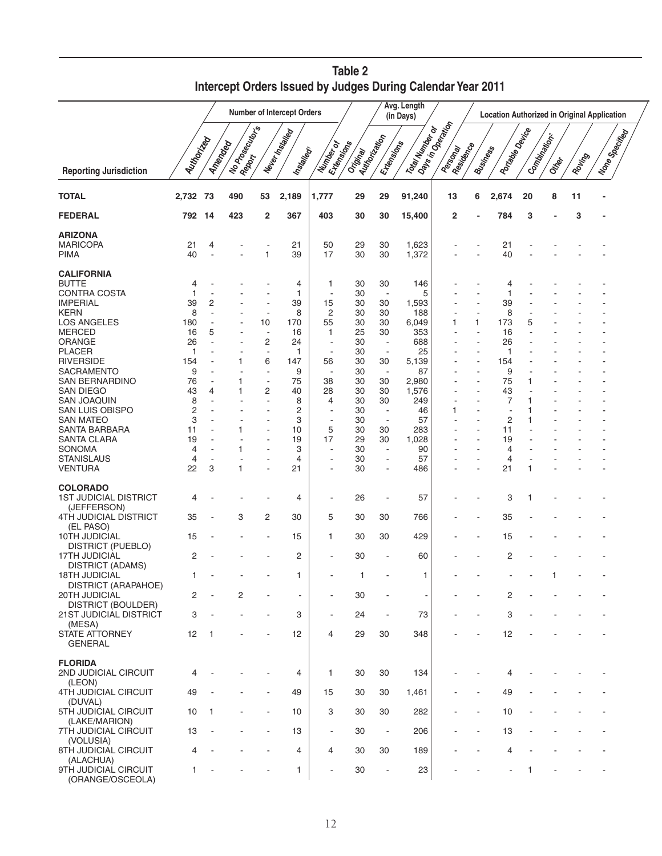|                                                                                            |                             |              |                         | Number of Intercept Orders | Avg. Length<br>(in Days)      | <b>Location Authorized in Original Application</b> |                            |                                                                        |                                    |                                              |                 |                              |        |                       |        |                   |  |
|--------------------------------------------------------------------------------------------|-----------------------------|--------------|-------------------------|----------------------------|-------------------------------|----------------------------------------------------|----------------------------|------------------------------------------------------------------------|------------------------------------|----------------------------------------------|-----------------|------------------------------|--------|-----------------------|--------|-------------------|--|
| <b>Reporting Jurisdiction</b>                                                              | Autinoriza                  | Amender      | Ilo Possolino<br>Report |                            | Never Installed<br>Installedy | Number of                                          | Ertensicons<br>Original    | Authorization<br>Extensions                                            | Tolay Number of                    | I Days in Operation<br>Residence<br>Personal | <b>Business</b> | Portage Device               |        | Compinential<br>Ottoo | Rouing | I Vone Specificar |  |
| <b>TOTAL</b>                                                                               | 2,732                       | -73          | 490                     | 53                         | 2,189                         | 1,777                                              | 29                         | 29                                                                     | 91,240                             | 13                                           | 6               | 2,674                        | 20     | 8                     | 11     |                   |  |
| <b>FEDERAL</b>                                                                             | 792                         | -14          | 423                     | 2                          | 367                           | 403                                                | 30                         | 30                                                                     | 15,400                             | 2                                            |                 | 784                          | 3      |                       | 3      |                   |  |
| ARIZONA<br><b>MARICOPA</b><br>PIMA                                                         | 21<br>40                    | 4            |                         | 1                          | 21<br>39                      | 50<br>17                                           | 29<br>30                   | 30<br>30                                                               | 1,623<br>1,372                     |                                              |                 | 21<br>40                     |        |                       |        |                   |  |
| <b>CALIFORNIA</b><br><b>BUTTE</b><br><b>CONTRA COSTA</b><br><b>IMPERIAL</b><br><b>KERN</b> | 4<br>1<br>39<br>8           | 2            |                         | Ĭ.                         | 4<br>1<br>39<br>8             | 1<br>ä,<br>15<br>2                                 | 30<br>30<br>30<br>30       | 30<br>$\overline{a}$<br>30<br>30                                       | 146<br>5<br>1,593<br>188           |                                              |                 | 4<br>1<br>39<br>8            |        |                       |        |                   |  |
| <b>LOS ANGELES</b><br><b>MERCED</b><br>ORANGE<br><b>PLACER</b><br><b>RIVERSIDE</b>         | 180<br>16<br>26<br>1<br>154 | 5            |                         | 10<br>÷,<br>2<br>٠<br>6    | 170<br>16<br>24<br>1<br>147   | 55<br>1<br>ä,<br>٠<br>56                           | 30<br>25<br>30<br>30<br>30 | 30<br>30<br>$\overline{\phantom{a}}$<br>$\overline{\phantom{a}}$<br>30 | 6,049<br>353<br>688<br>25<br>5,139 | 1                                            | 1               | 173<br>16<br>26<br>-1<br>154 | 5      |                       |        |                   |  |
| SACRAMENTO<br>SAN BERNARDINO<br>SAN DIEGO<br><b>SAN JOAQUIN</b>                            | 9<br>76<br>43<br>8          | 4            | 1<br>1                  | ÷<br>$\overline{a}$<br>2   | 9<br>75<br>40<br>8            | 38<br>28<br>4                                      | 30<br>30<br>30<br>30       | $\overline{\phantom{a}}$<br>30<br>30<br>30                             | 87<br>2,980<br>1,576<br>249        |                                              |                 | 9<br>75<br>43<br>7           | 1<br>1 |                       |        |                   |  |
| SAN LUIS OBISPO<br><b>SAN MATEO</b><br>SANTA BARBARA<br><b>SANTA CLARA</b>                 | 2<br>3<br>11<br>19          |              |                         |                            | 2<br>3<br>10<br>19            | ÷.<br>٠<br>5<br>17                                 | 30<br>30<br>30<br>29       | $\overline{\phantom{a}}$<br>$\overline{\phantom{a}}$<br>30<br>30       | 46<br>57<br>283<br>1,028           | 1                                            |                 | $\overline{c}$<br>11<br>19   | 1      |                       |        |                   |  |
| SONOMA<br><b>STANISLAUS</b><br><b>VENTURA</b>                                              | 4<br>4<br>22                | 3            | 1                       | ä,                         | 3<br>4<br>21                  | ٠<br>٠<br>٠                                        | 30<br>30<br>30             | $\overline{a}$<br>$\overline{a}$                                       | 90<br>57<br>486                    |                                              |                 | 4<br>4<br>21                 | 1      |                       |        |                   |  |
| <b>COLORADO</b><br><b>1ST JUDICIAL DISTRICT</b><br>(JEFFERSON)                             | 4                           |              |                         |                            | 4                             | $\blacksquare$                                     | 26                         | $\overline{a}$                                                         | 57                                 |                                              |                 | 3                            | 1      |                       |        |                   |  |
| <b>4TH JUDICIAL DISTRICT</b><br>(EL PASO)<br>10TH JUDICIAL                                 | 35                          |              | 3                       | 2                          | 30                            | 5                                                  | 30<br>30                   | 30                                                                     | 766<br>429                         |                                              |                 | 35                           |        |                       |        |                   |  |
| DISTRICT (PUEBLO)<br><b>17TH JUDICIAL</b>                                                  | 15<br>2                     |              |                         | ۰                          | 15<br>2                       | 1                                                  | 30                         | 30                                                                     | 60                                 |                                              |                 | 15<br>2                      |        |                       |        |                   |  |
| <b>DISTRICT (ADAMS)</b><br><b>18TH JUDICIAL</b>                                            | 1                           |              |                         |                            | 1                             |                                                    | 1                          |                                                                        | 1                                  |                                              |                 |                              |        | 1                     |        |                   |  |
| <b>DISTRICT (ARAPAHOE)</b><br>20TH JUDICIAL<br>DISTRICT (BOULDER)                          | 2                           |              | 2                       |                            | $\blacksquare$                | $\blacksquare$                                     | 30                         |                                                                        | $\overline{\phantom{a}}$           |                                              |                 | 2                            |        |                       |        |                   |  |
| 21ST JUDICIAL DISTRICT<br>(MESA)<br><b>STATE ATTORNEY</b><br><b>GENERAL</b>                | 3<br>12                     | $\mathbf{1}$ |                         | $\overline{\phantom{a}}$   | 3<br>12                       | $\blacksquare$<br>4                                | 24<br>29                   | $\overline{\phantom{a}}$<br>30                                         | 73<br>348                          |                                              |                 | 3<br>12                      |        |                       |        |                   |  |
| <b>FLORIDA</b><br>2ND JUDICIAL CIRCUIT                                                     | 4                           |              |                         |                            | 4                             | 1                                                  | 30                         | 30                                                                     | 134                                |                                              |                 | 4                            |        |                       |        |                   |  |
| (LEON)<br><b>4TH JUDICIAL CIRCUIT</b><br>(DUVAL)                                           | 49                          |              |                         |                            | 49                            | 15                                                 | 30                         | 30                                                                     | 1,461                              |                                              |                 | 49                           |        |                       |        |                   |  |
| 5TH JUDICIAL CIRCUIT<br>(LAKE/MARION)                                                      | 10                          | 1            |                         | $\overline{\phantom{a}}$   | 10                            | 3                                                  | 30                         | 30                                                                     | 282                                |                                              |                 | 10                           |        |                       |        |                   |  |
| 7TH JUDICIAL CIRCUIT<br>(VOLUSIA)<br>8TH JUDICIAL CIRCUIT                                  | 13<br>4                     |              |                         |                            | 13<br>4                       | $\blacksquare$<br>4                                | 30<br>30                   | $\overline{\phantom{a}}$<br>30                                         | 206<br>189                         |                                              |                 | 13<br>4                      |        |                       |        |                   |  |
| (ALACHUA)<br>9TH JUDICIAL CIRCUIT<br>(ORANGE/OSCEOLA)                                      | 1                           |              |                         |                            | 1                             | ٠                                                  | 30                         | $\overline{a}$                                                         | 23                                 |                                              |                 |                              | 1      |                       |        |                   |  |

| Table 2                                                     |
|-------------------------------------------------------------|
| Intercept Orders Issued by Judges During Calendar Year 2011 |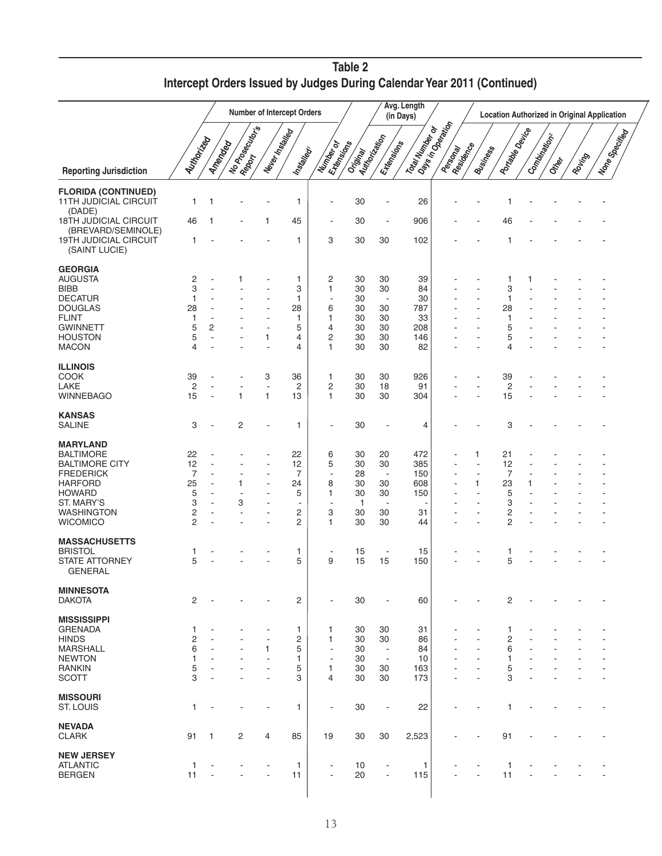|                                                    |                         |                          |                              |                          | <b>Number of Intercept Orders</b> |                          |                  |                          | Avg. Length<br>(in Days) |                                            |                 |                         |              |        |        | <b>Location Authorized in Original Application</b> |  |
|----------------------------------------------------|-------------------------|--------------------------|------------------------------|--------------------------|-----------------------------------|--------------------------|------------------|--------------------------|--------------------------|--------------------------------------------|-----------------|-------------------------|--------------|--------|--------|----------------------------------------------------|--|
| <b>Reporting Jurisdiction</b>                      | Autto Critical          |                          | I No Prospections<br>Amended | Never Installed          | Installedy                        | Ertensicons<br>Number of | Original Concern | Extensions               | Total Number of          | Days in Operation<br>Residence<br>Personal | <b>Business</b> | Antage Device           | Compinations | Ottoor | Rouing | I None Specifical                                  |  |
| <b>FLORIDA (CONTINUED)</b>                         |                         |                          |                              |                          |                                   |                          |                  |                          |                          |                                            |                 |                         |              |        |        |                                                    |  |
| <b>11TH JUDICIAL CIRCUIT</b><br>(DADE)             | 1                       | $\mathbf 1$              |                              |                          | 1                                 | ٠                        | 30               | ÷,                       | 26                       |                                            |                 |                         |              |        |        |                                                    |  |
| <b>18TH JUDICIAL CIRCUIT</b><br>(BREVARD/SEMINOLE) | 46                      | -1                       |                              | 1                        | 45                                | ٠                        | 30               | $\overline{\phantom{a}}$ | 906                      |                                            |                 | 46                      |              |        |        |                                                    |  |
| 19TH JUDICIAL CIRCUIT<br>(SAINT LUCIE)             | 1                       |                          |                              |                          | 1                                 | 3                        | 30               | 30                       | 102                      |                                            |                 | 1                       |              |        |        |                                                    |  |
| <b>GEORGIA</b>                                     |                         |                          |                              |                          |                                   |                          |                  |                          |                          |                                            |                 |                         |              |        |        |                                                    |  |
| <b>AUGUSTA</b>                                     | 2                       |                          | 1                            |                          | 1                                 | 2                        | 30               | 30                       | 39                       |                                            |                 | 1                       | 1            |        |        |                                                    |  |
| BIBB                                               | 3                       |                          |                              |                          | 3                                 | 1                        | 30               | 30                       | 84                       |                                            | ٠               | 3                       |              |        |        |                                                    |  |
| <b>DECATUR</b>                                     | 1                       |                          |                              |                          | 1                                 |                          | 30               | $\overline{\phantom{a}}$ | 30                       |                                            |                 | 1                       |              |        |        |                                                    |  |
| <b>DOUGLAS</b>                                     | 28                      |                          |                              | ÷,                       | 28                                | 6                        | 30               | 30                       | 787                      |                                            |                 | 28                      |              |        |        |                                                    |  |
| <b>FLINT</b>                                       | 1                       | ÷.                       |                              | ٠                        | 1                                 | 1                        | 30               | 30                       | 33                       |                                            |                 | 1                       |              |        |        |                                                    |  |
| GWINNETT                                           | 5                       | 2                        |                              | ٠                        | 5                                 | 4                        | 30               | 30                       | 208                      |                                            |                 | 5                       |              |        |        |                                                    |  |
| <b>HOUSTON</b>                                     | 5                       | $\overline{a}$           |                              | 1                        | 4                                 | 2                        | 30               | 30                       | 146                      |                                            |                 | 5                       |              |        |        |                                                    |  |
| <b>MACON</b>                                       | 4                       |                          |                              | ٠                        | 4                                 | 1                        | 30               | 30                       | 82                       |                                            |                 | 4                       |              |        |        |                                                    |  |
| <b>ILLINOIS</b>                                    |                         |                          |                              |                          |                                   |                          |                  |                          |                          |                                            |                 |                         |              |        |        |                                                    |  |
| COOK                                               | 39                      |                          |                              | 3                        | 36                                | 1                        | 30               | 30                       | 926                      |                                            |                 | 39                      |              |        |        |                                                    |  |
| LAKE                                               | 2                       | $\blacksquare$           |                              | $\ddot{\phantom{0}}$     | 2                                 | 2                        | 30               | 18                       | 91                       |                                            | ÷,              | $\overline{\mathbf{c}}$ |              |        |        |                                                    |  |
| <b>WINNEBAGO</b>                                   | 15                      |                          | $\mathbf{1}$                 | 1                        | 13                                | 1                        | 30               | 30                       | 304                      |                                            |                 | 15                      |              |        |        |                                                    |  |
| <b>KANSAS</b>                                      |                         |                          |                              |                          |                                   |                          |                  |                          |                          |                                            |                 |                         |              |        |        |                                                    |  |
| <b>SALINE</b>                                      | 3                       |                          | 2                            | -                        | 1                                 | -                        | 30               | ٠                        | 4                        |                                            |                 | 3                       |              |        |        |                                                    |  |
| <b>MARYLAND</b>                                    |                         |                          |                              |                          |                                   |                          |                  |                          |                          |                                            |                 |                         |              |        |        |                                                    |  |
| BALTIMORE                                          | 22                      |                          |                              |                          | 22                                | 6                        | 30               | 20                       | 472                      |                                            | 1               | 21                      |              |        |        |                                                    |  |
| BALTIMORE CITY                                     | 12                      |                          |                              |                          | 12                                | 5                        | 30               | 30                       | 385                      |                                            | ÷,              | 12                      |              |        |        |                                                    |  |
| FREDERICK                                          | 7                       |                          |                              |                          | 7                                 | ÷,                       | 28               | $\overline{\phantom{a}}$ | 150                      |                                            | $\overline{a}$  | 7                       |              |        |        |                                                    |  |
| HARFORD                                            | 25                      |                          | 1                            |                          | 24                                | 8                        | 30               | 30                       | 608                      |                                            | 1               | 23                      |              |        |        |                                                    |  |
| <b>HOWARD</b>                                      | 5                       |                          | $\blacksquare$               |                          | 5                                 | 1                        | 30               | 30                       | 150                      |                                            |                 | 5                       |              |        |        |                                                    |  |
| ST. MARY'S                                         | 3                       | $\blacksquare$           | 3                            | ÷,                       | $\overline{\phantom{a}}$          | $\overline{a}$           | 1                | ÷,                       | ٠                        |                                            | ٠               | 3                       |              |        |        |                                                    |  |
| WASHINGTON                                         | $\overline{\mathbf{c}}$ |                          |                              | ٠                        | 2                                 | 3                        | 30               | 30                       | 31                       |                                            | Ĭ.              | 2                       |              |        |        |                                                    |  |
| <b>WICOMICO</b>                                    | $\overline{2}$          |                          |                              | ÷,                       | 2                                 | 1                        | 30               | 30                       | 44                       |                                            |                 | $\overline{c}$          |              |        |        |                                                    |  |
|                                                    |                         |                          |                              |                          |                                   |                          |                  |                          |                          |                                            |                 |                         |              |        |        |                                                    |  |
| <b>MASSACHUSETTS</b>                               |                         |                          |                              |                          |                                   |                          |                  |                          |                          |                                            |                 |                         |              |        |        |                                                    |  |
| <b>BRISTOL</b>                                     | 1                       |                          |                              |                          | 1                                 | $\overline{a}$           | 15               | $\overline{\phantom{a}}$ | 15                       |                                            |                 | 1                       |              |        |        |                                                    |  |
| <b>STATE ATTORNEY</b><br><b>GENERAL</b>            | 5                       |                          |                              | ٠                        | 5                                 | 9                        | 15               | 15                       | 150                      |                                            |                 | 5                       |              |        |        |                                                    |  |
| <b>MINNESOTA</b>                                   |                         |                          |                              |                          |                                   |                          |                  |                          |                          |                                            |                 |                         |              |        |        |                                                    |  |
| <b>DAKOTA</b>                                      | $\mathbf{2}$            |                          |                              | $\overline{\phantom{a}}$ | $\overline{c}$                    | $\overline{\phantom{a}}$ | 30               | $\blacksquare$           | 60                       |                                            |                 | 2                       |              |        |        |                                                    |  |
| <b>MISSISSIPPI</b>                                 |                         |                          |                              |                          |                                   |                          |                  |                          |                          |                                            |                 |                         |              |        |        |                                                    |  |
| <b>GRENADA</b>                                     | 1                       |                          |                              |                          | 1                                 | 1                        | 30               | 30                       | 31                       |                                            |                 | 1                       |              |        |        |                                                    |  |
| HINDS                                              | $\overline{\mathbf{c}}$ |                          |                              | ٠                        | 2                                 | 1                        | 30               | 30                       | 86                       |                                            |                 | 2                       |              |        |        |                                                    |  |
| MARSHALL                                           | 6                       |                          | ÷.                           | 1                        | 5                                 | $\blacksquare$           | 30               | $\overline{\phantom{a}}$ | 84                       |                                            | ÷.              | 6                       |              |        |        |                                                    |  |
| <b>NEWTON</b>                                      | 1                       | ÷.                       |                              | ÷,                       | 1                                 | $\overline{a}$           | 30               | $\overline{\phantom{a}}$ | 10                       |                                            | ٠               | 1                       |              |        |        |                                                    |  |
| <b>RANKIN</b>                                      | 5                       |                          |                              | ÷,                       | 5                                 | 1                        | 30               | 30                       | 163                      |                                            |                 | 5                       |              |        |        |                                                    |  |
| <b>SCOTT</b>                                       | 3                       |                          |                              | $\overline{a}$           | 3                                 | 4                        | 30               | 30                       | 173                      |                                            |                 | 3                       |              |        |        | ÷.                                                 |  |
|                                                    |                         |                          |                              |                          |                                   |                          |                  |                          |                          |                                            |                 |                         |              |        |        |                                                    |  |
| <b>MISSOURI</b><br>ST. LOUIS                       | 1.                      |                          |                              | $\overline{a}$           | 1                                 | $\overline{\phantom{a}}$ | 30               | $\overline{\phantom{a}}$ | 22                       |                                            |                 | 1                       |              |        |        |                                                    |  |
| <b>NEVADA</b>                                      |                         |                          |                              |                          |                                   |                          |                  |                          |                          |                                            |                 |                         |              |        |        |                                                    |  |
| <b>CLARK</b>                                       | 91                      | $\mathbf{1}$             | 2                            | 4                        | 85                                | 19                       | 30               | 30                       | 2,523                    |                                            |                 | 91                      |              |        |        |                                                    |  |
| <b>NEW JERSEY</b>                                  |                         |                          |                              |                          |                                   |                          |                  |                          |                          |                                            |                 |                         |              |        |        |                                                    |  |
| <b>ATLANTIC</b>                                    | 1                       | $\overline{\phantom{a}}$ |                              | $\overline{\phantom{a}}$ | 1                                 | $\overline{\phantom{a}}$ | 10               | $\overline{\phantom{a}}$ | 1                        |                                            |                 | $\mathbf{1}$            |              |        |        |                                                    |  |
| <b>BERGEN</b>                                      | 11                      |                          |                              | $\blacksquare$           | 11                                | $\overline{\phantom{a}}$ | 20               | $\blacksquare$           | 115                      |                                            | ٠               | 11                      |              |        |        |                                                    |  |
|                                                    |                         |                          |                              |                          |                                   |                          |                  |                          |                          |                                            |                 |                         |              |        |        |                                                    |  |

**Table 2 Intercept Orders Issued by Judges During Calendar Year 2011 (Continued)**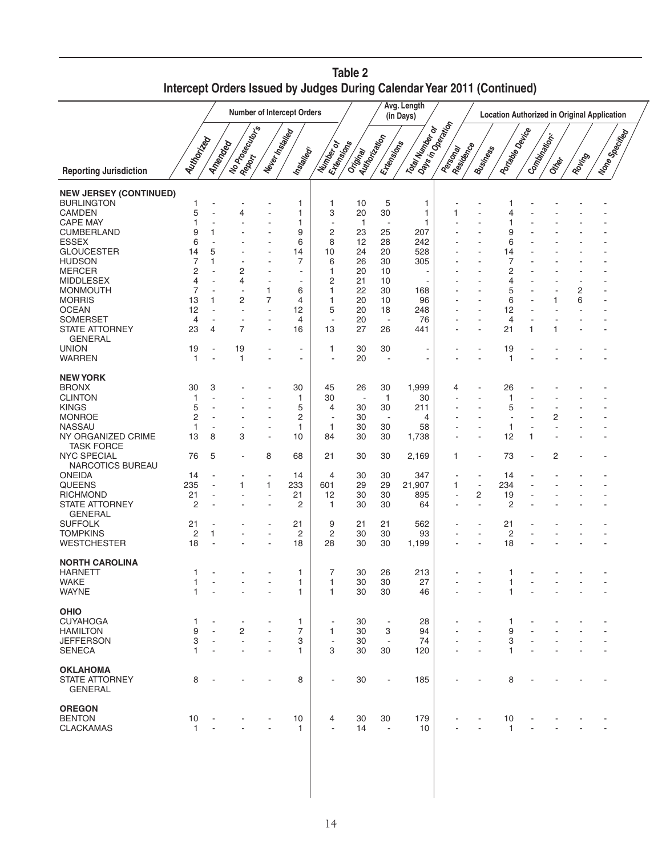|                                                                                                                                                                                                           |                                                                                                              |             |                |                          |                                                     |                                                                           |                                                                    |                                                                              | Intercept Orders Issued by Judges During Calendar Year 2011 (Continued) |                      |                                     |                                     |                   |        |        |                  |
|-----------------------------------------------------------------------------------------------------------------------------------------------------------------------------------------------------------|--------------------------------------------------------------------------------------------------------------|-------------|----------------|--------------------------|-----------------------------------------------------|---------------------------------------------------------------------------|--------------------------------------------------------------------|------------------------------------------------------------------------------|-------------------------------------------------------------------------|----------------------|-------------------------------------|-------------------------------------|-------------------|--------|--------|------------------|
|                                                                                                                                                                                                           | Avg. Length<br>Number of Intercept Orders<br><b>Location Authorized in Original Application</b><br>(in Days) |             |                |                          |                                                     |                                                                           |                                                                    |                                                                              |                                                                         |                      |                                     |                                     |                   |        |        |                  |
| <b>Reporting Jurisdiction</b>                                                                                                                                                                             | Autto Critical                                                                                               | Amender     | I No Poecutors | Never Installed          | Installedy                                          | Extensive<br>Mumber or                                                    | Original Revised                                                   | Ertensiness                                                                  | Tola Number<br>Paper Indian or                                          | Passonay<br>Resident | <b>Business</b>                     | Aortage Device                      | Comptional Concor | Ottoor | Rouing | I None Specifica |
| <b>NEW JERSEY (CONTINUED)</b>                                                                                                                                                                             |                                                                                                              |             |                |                          |                                                     |                                                                           |                                                                    |                                                                              |                                                                         |                      |                                     |                                     |                   |        |        |                  |
| <b>BURLINGTON</b><br>CAMDEN<br><b>CAPE MAY</b><br>CUMBERLAND<br>ESSEX<br><b>GLOUCESTER</b><br><b>HUDSON</b><br><b>MERCER</b><br><b>MIDDLESEX</b>                                                          | 5<br>9<br>6<br>14<br>7<br>2<br>4                                                                             | 5<br>1      | 4<br>2<br>4    |                          | 1<br>1<br>1<br>9<br>6<br>14<br>7<br>$\blacksquare$  | 1<br>3<br>2<br>8<br>10<br>6<br>1<br>2                                     | 10<br>20<br>$\mathbf{1}$<br>23<br>12<br>24<br>26<br>20<br>21       | 5<br>30<br>$\overline{\phantom{a}}$<br>25<br>28<br>20<br>30<br>10<br>10      | 1<br>1<br>1<br>207<br>242<br>528<br>305                                 |                      |                                     | g<br>6<br>14<br>7<br>2<br>4         |                   |        |        |                  |
| <b>MONMOUTH</b><br><b>MORRIS</b><br><b>OCEAN</b><br><b>SOMERSET</b><br><b>STATE ATTORNEY</b>                                                                                                              | 7<br>13<br>12<br>4<br>23                                                                                     | 1<br>4      | 2<br>7         | 1<br>7<br>$\blacksquare$ | 6<br>4<br>12<br>4<br>16                             | 1<br>1<br>5<br>$\blacksquare$<br>13                                       | 22<br>20<br>20<br>20<br>27                                         | 30<br>10<br>18<br>$\overline{\phantom{a}}$<br>26                             | 168<br>96<br>248<br>76<br>441                                           |                      |                                     | 5<br>6<br>12<br>4<br>21             | $\mathbf 1$       |        | 2<br>6 |                  |
| <b>GENERAL</b><br><b>UNION</b><br><b>WARREN</b>                                                                                                                                                           | 19<br>$\mathbf 1$                                                                                            |             | 19<br>1        |                          | $\overline{\phantom{a}}$<br>$\blacksquare$          | 1<br>$\overline{a}$                                                       | 30<br>20                                                           | 30<br>÷                                                                      |                                                                         |                      |                                     | 19<br>$\mathbf 1$                   |                   |        |        |                  |
| <b>NEW YORK</b><br><b>BRONX</b><br><b>CLINTON</b><br><b>KINGS</b><br><b>MONROE</b><br><b>NASSAU</b><br>NY ORGANIZED CRIME<br><b>TASK FORCE</b><br><b>NYC SPECIAL</b><br>NARCOTICS BUREAU<br><b>ONEIDA</b> | 30<br>1<br>5<br>2<br>1<br>13<br>76<br>14                                                                     | 3<br>8<br>5 | 3              | 8                        | 30<br>1<br>5<br>2<br>$\mathbf{1}$<br>10<br>68<br>14 | 45<br>30<br>4<br>$\mathbf{1}$<br>84<br>21<br>4                            | 26<br>$\overline{\phantom{a}}$<br>30<br>30<br>30<br>30<br>30<br>30 | 30<br>$\mathbf{1}$<br>30<br>$\overline{\phantom{a}}$<br>30<br>30<br>30<br>30 | 1,999<br>30<br>211<br>4<br>58<br>1,738<br>2,169<br>347                  | 4<br>1               |                                     | 26<br>1<br>5<br>1<br>12<br>73<br>14 | 1                 | 2<br>2 |        |                  |
| <b>QUEENS</b><br><b>RICHMOND</b><br><b>STATE ATTORNEY</b><br><b>GENERAL</b><br><b>SUFFOLK</b>                                                                                                             | 235<br>21<br>2                                                                                               |             | 1              | 1                        | 233<br>21<br>2                                      | 601<br>12<br>$\mathbf{1}$                                                 | 29<br>30<br>30                                                     | 29<br>30<br>30<br>21                                                         | 21,907<br>895<br>64                                                     | 1                    | $\overline{\phantom{a}}$<br>2<br>ä, | 234<br>19<br>2                      |                   |        |        |                  |
| <b>TOMPKINS</b><br><b>WESTCHESTER</b>                                                                                                                                                                     | 21<br>$\overline{c}$<br>18                                                                                   |             |                |                          | 21<br>2<br>18                                       | 9<br>2<br>28                                                              | 21<br>30<br>30                                                     | 30<br>30                                                                     | 562<br>93<br>1,199                                                      |                      |                                     | 21<br>2<br>18                       |                   |        |        |                  |
| <b>NORTH CAROLINA</b><br>HARNE I I<br>WAKE<br><b>WAYNE</b>                                                                                                                                                | 1<br>$\mathbf{1}$                                                                                            |             |                |                          | 1<br>1<br>1                                         | 7<br>1<br>$\mathbf{1}$                                                    | 30<br>30<br>30                                                     | 26<br>30<br>30                                                               | 213<br>27<br>46                                                         |                      |                                     | 1<br>1                              |                   |        |        |                  |
| <b>OHIO</b><br><b>CUYAHOGA</b><br><b>HAMILTON</b><br><b>JEFFERSON</b><br><b>SENECA</b>                                                                                                                    | 1<br>9<br>3<br>1                                                                                             |             | ÷<br>2<br>ä,   |                          | 1<br>$\overline{7}$<br>3<br>1                       | $\overline{\phantom{a}}$<br>$\mathbf{1}$<br>$\overline{\phantom{a}}$<br>3 | 30<br>30<br>30<br>30                                               | $\overline{\phantom{a}}$<br>3<br>$\overline{\phantom{a}}$<br>30              | 28<br>94<br>74<br>120                                                   |                      |                                     | 1<br>9<br>3<br>1                    |                   |        |        |                  |
| <b>OKLAHOMA</b><br><b>STATE ATTORNEY</b><br><b>GENERAL</b>                                                                                                                                                | 8                                                                                                            |             |                |                          | 8                                                   | $\overline{\phantom{a}}$                                                  | 30                                                                 | $\overline{\phantom{a}}$                                                     | 185                                                                     |                      |                                     | 8                                   |                   |        |        |                  |
| <b>OREGON</b><br><b>BENTON</b><br><b>CLACKAMAS</b>                                                                                                                                                        | 10<br>$\mathbf{1}$                                                                                           |             |                |                          | 10<br>1                                             | 4<br>$\overline{\phantom{a}}$                                             | 30<br>14                                                           | 30<br>$\overline{\phantom{a}}$                                               | 179<br>10                                                               |                      |                                     | 10<br>1                             |                   |        |        |                  |

**Table 2 Intercept Orders Issued by Judges During Calendar Year 2011 (Continued)**